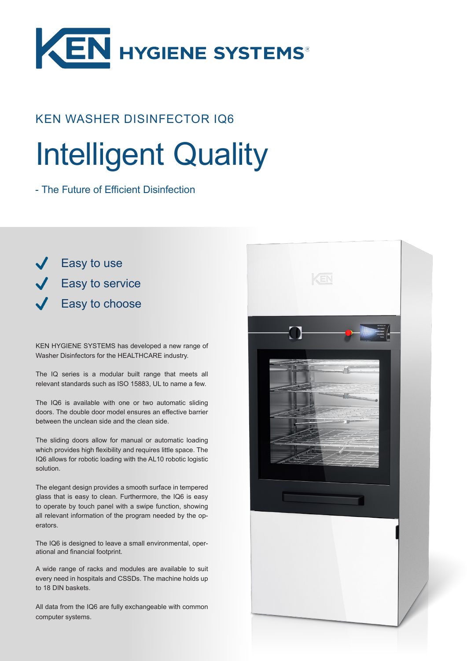

## KEN WASHER DISINFECTOR IQ6

# Intelligent Quality

- The Future of Efficient Disinfection

**Easy to use** Easy to service Easy to choose

KEN HYGIENE SYSTEMS has developed a new range of Washer Disinfectors for the HEALTHCARE industry.

The IQ series is a modular built range that meets all relevant standards such as ISO 15883, UL to name a few.

The IQ6 is available with one or two automatic sliding doors. The double door model ensures an effective barrier between the unclean side and the clean side.

The sliding doors allow for manual or automatic loading which provides high flexibility and requires little space. The IQ6 allows for robotic loading with the AL10 robotic logistic solution.

The elegant design provides a smooth surface in tempered glass that is easy to clean. Furthermore, the IQ6 is easy to operate by touch panel with a swipe function, showing all relevant information of the program needed by the operators.

The IQ6 is designed to leave a small environmental, operational and financial footprint.

A wide range of racks and modules are available to suit every need in hospitals and CSSDs. The machine holds up to 18 DIN baskets.

All data from the IQ6 are fully exchangeable with common computer systems.